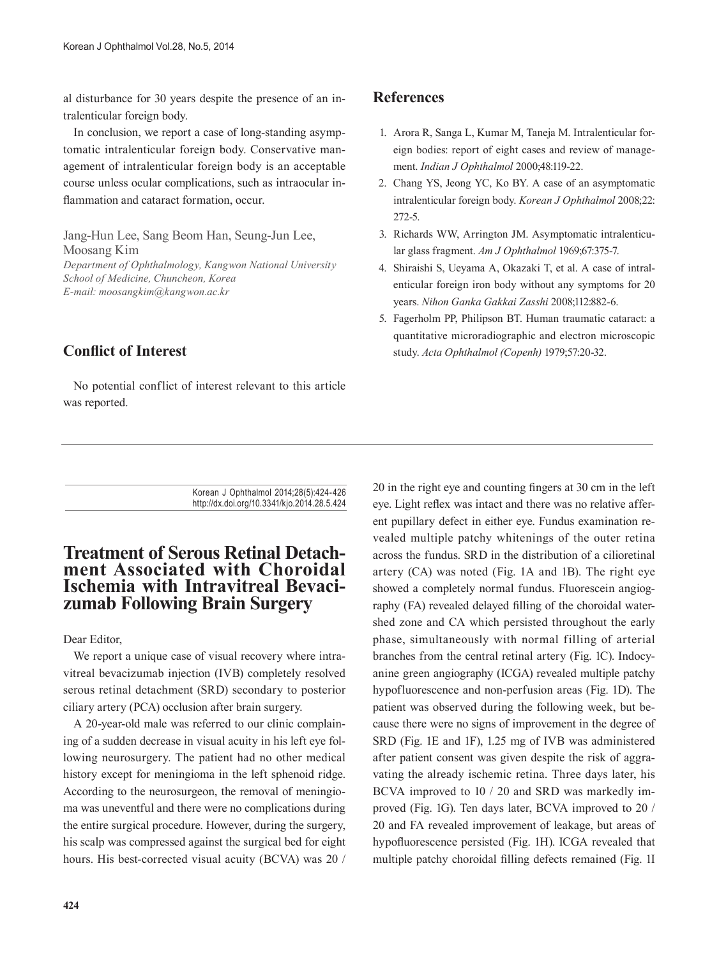al disturbance for 30 years despite the presence of an intralenticular foreign body.

In conclusion, we report a case of long-standing asymptomatic intralenticular foreign body. Conservative management of intralenticular foreign body is an acceptable course unless ocular complications, such as intraocular inflammation and cataract formation, occur.

Jang-Hun Lee, Sang Beom Han, Seung-Jun Lee, Moosang Kim *Department of Ophthalmology, Kangwon National University School of Medicine, Chuncheon, Korea E-mail: moosangkim@kangwon.ac.kr*

### **Conflict of Interest**

No potential conflict of interest relevant to this article was reported.

#### **References**

- 1. Arora R, Sanga L, Kumar M, Taneja M. Intralenticular foreign bodies: report of eight cases and review of management. *Indian J Ophthalmol* 2000;48:119-22.
- 2. Chang YS, Jeong YC, Ko BY. A case of an asymptomatic intralenticular foreign body. *Korean J Ophthalmol* 2008;22: 272-5.
- 3. Richards WW, Arrington JM. Asymptomatic intralenticular glass fragment. *Am J Ophthalmol* 1969;67:375-7.
- 4. Shiraishi S, Ueyama A, Okazaki T, et al. A case of intralenticular foreign iron body without any symptoms for 20 years. *Nihon Ganka Gakkai Zasshi* 2008;112:882-6.
- 5. Fagerholm PP, Philipson BT. Human traumatic cataract: a quantitative microradiographic and electron microscopic study. *Acta Ophthalmol (Copenh)* 1979;57:20-32.

Korean J Ophthalmol 2014;28(5):424-426 http://dx.doi.org/10.3341/kjo.2014.28.5.424

# **Treatment of Serous Retinal Detach- ment Associated with Choroidal Ischemia with Intravitreal Bevaci- zumab Following Brain Surgery**

Dear Editor,

We report a unique case of visual recovery where intravitreal bevacizumab injection (IVB) completely resolved serous retinal detachment (SRD) secondary to posterior ciliary artery (PCA) occlusion after brain surgery.

A 20-year-old male was referred to our clinic complaining of a sudden decrease in visual acuity in his left eye following neurosurgery. The patient had no other medical history except for meningioma in the left sphenoid ridge. According to the neurosurgeon, the removal of meningioma was uneventful and there were no complications during the entire surgical procedure. However, during the surgery, his scalp was compressed against the surgical bed for eight hours. His best-corrected visual acuity (BCVA) was 20 /

20 in the right eye and counting fingers at 30 cm in the left eye. Light reflex was intact and there was no relative afferent pupillary defect in either eye. Fundus examination revealed multiple patchy whitenings of the outer retina across the fundus. SRD in the distribution of a cilioretinal artery (CA) was noted (Fig. 1A and 1B). The right eye showed a completely normal fundus. Fluorescein angiography (FA) revealed delayed filling of the choroidal watershed zone and CA which persisted throughout the early phase, simultaneously with normal filling of arterial branches from the central retinal artery (Fig. 1C). Indocyanine green angiography (ICGA) revealed multiple patchy hypofluorescence and non-perfusion areas (Fig. 1D). The patient was observed during the following week, but because there were no signs of improvement in the degree of SRD (Fig. 1E and 1F), 1.25 mg of IVB was administered after patient consent was given despite the risk of aggravating the already ischemic retina. Three days later, his BCVA improved to 10 / 20 and SRD was markedly improved (Fig. 1G). Ten days later, BCVA improved to 20 / 20 and FA revealed improvement of leakage, but areas of hypofluorescence persisted (Fig. 1H). ICGA revealed that multiple patchy choroidal filling defects remained (Fig. 1I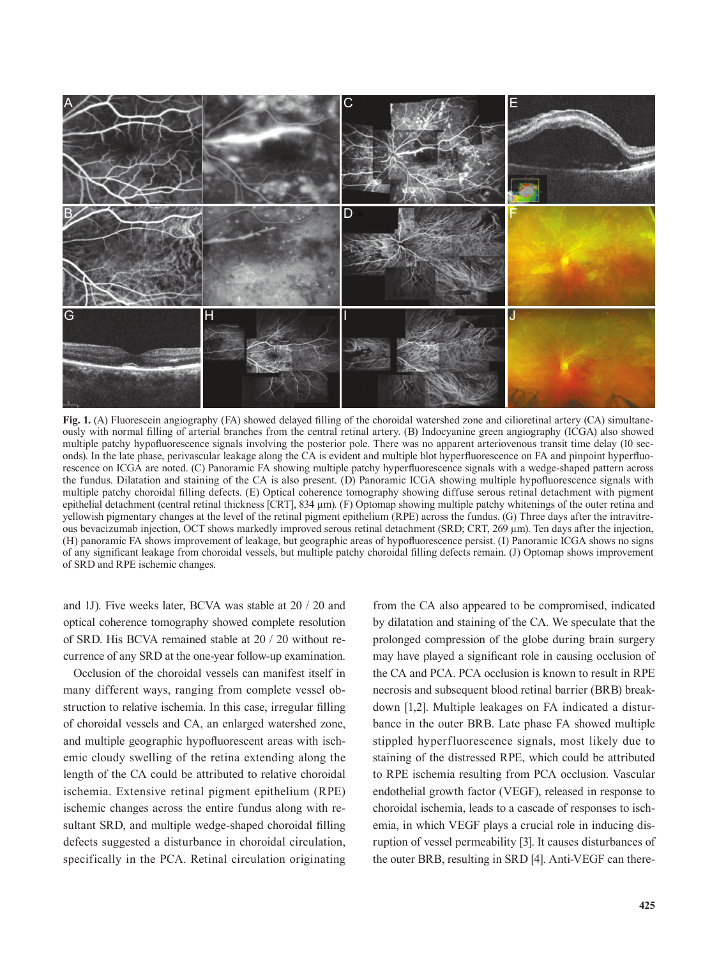

**Fig. 1.** (A) Fluorescein angiography (FA) showed delayed filling of the choroidal watershed zone and cilioretinal artery (CA) simultaneously with normal filling of arterial branches from the central retinal artery. (B) Indocyanine green angiography (ICGA) also showed multiple patchy hypofluorescence signals involving the posterior pole. There was no apparent arteriovenous transit time delay (10 seconds). In the late phase, perivascular leakage along the CA is evident and multiple blot hyperfluorescence on FA and pinpoint hyperfluorescence on ICGA are noted. (C) Panoramic FA showing multiple patchy hyperfluorescence signals with a wedge-shaped pattern across the fundus. Dilatation and staining of the CA is also present. (D) Panoramic ICGA showing multiple hypofluorescence signals with multiple patchy choroidal filling defects. (E) Optical coherence tomography showing diffuse serous retinal detachment with pigment epithelial detachment (central retinal thickness [CRT], 834 µm). (F) Optomap showing multiple patchy whitenings of the outer retina and yellowish pigmentary changes at the level of the retinal pigment epithelium (RPE) across the fundus. (G) Three days after the intravitreous bevacizumab injection, OCT shows markedly improved serous retinal detachment (SRD; CRT, 269 µm). Ten days after the injection, (H) panoramic FA shows improvement of leakage, but geographic areas of hypofluorescence persist. (I) Panoramic ICGA shows no signs of any significant leakage from choroidal vessels, but multiple patchy choroidal filling defects remain. (J) Optomap shows improvement of SRD and RPE ischemic changes.

and 1J). Five weeks later, BCVA was stable at 20 / 20 and optical coherence tomography showed complete resolution of SRD. His BCVA remained stable at 20 / 20 without recurrence of any SRD at the one-year follow-up examination.

Occlusion of the choroidal vessels can manifest itself in many different ways, ranging from complete vessel obstruction to relative ischemia. In this case, irregular filling of choroidal vessels and CA, an enlarged watershed zone, and multiple geographic hypofluorescent areas with ischemic cloudy swelling of the retina extending along the length of the CA could be attributed to relative choroidal ischemia. Extensive retinal pigment epithelium (RPE) ischemic changes across the entire fundus along with resultant SRD, and multiple wedge-shaped choroidal filling defects suggested a disturbance in choroidal circulation, specifically in the PCA. Retinal circulation originating

from the CA also appeared to be compromised, indicated by dilatation and staining of the CA. We speculate that the prolonged compression of the globe during brain surgery may have played a significant role in causing occlusion of the CA and PCA. PCA occlusion is known to result in RPE necrosis and subsequent blood retinal barrier (BRB) breakdown [1,2]. Multiple leakages on FA indicated a disturbance in the outer BRB. Late phase FA showed multiple stippled hyperfluorescence signals, most likely due to staining of the distressed RPE, which could be attributed to RPE ischemia resulting from PCA occlusion. Vascular endothelial growth factor (VEGF), released in response to choroidal ischemia, leads to a cascade of responses to ischemia, in which VEGF plays a crucial role in inducing disruption of vessel permeability [3]. It causes disturbances of the outer BRB, resulting in SRD [4]. Anti-VEGF can there